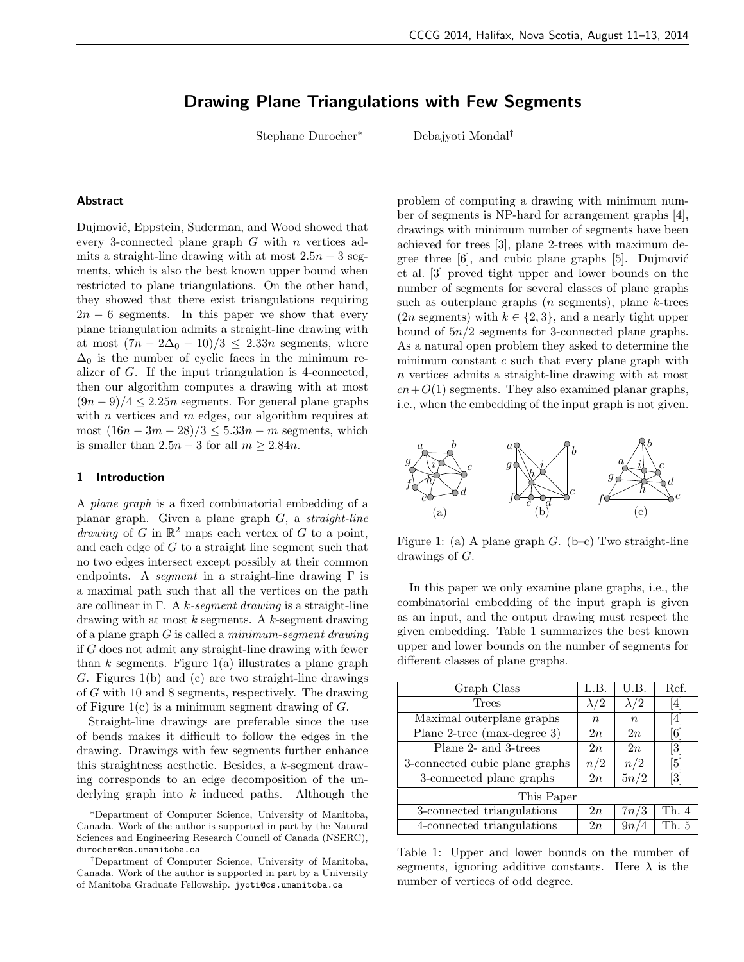# Drawing Plane Triangulations with Few Segments

Stephane Durocher<sup>∗</sup> Debajyoti Mondal†

#### Abstract

Dujmović, Eppstein, Suderman, and Wood showed that every 3-connected plane graph  $G$  with  $n$  vertices admits a straight-line drawing with at most  $2.5n - 3$  segments, which is also the best known upper bound when restricted to plane triangulations. On the other hand, they showed that there exist triangulations requiring  $2n - 6$  segments. In this paper we show that every plane triangulation admits a straight-line drawing with at most  $(7n - 2\Delta_0 - 10)/3 \leq 2.33n$  segments, where  $\Delta_0$  is the number of cyclic faces in the minimum realizer of G. If the input triangulation is 4-connected, then our algorithm computes a drawing with at most  $(9n-9)/4 \leq 2.25n$  segments. For general plane graphs with *n* vertices and *m* edges, our algorithm requires at most  $(16n - 3m - 28)/3 \le 5.33n - m$  segments, which is smaller than  $2.5n - 3$  for all  $m \ge 2.84n$ .

#### 1 Introduction

A plane graph is a fixed combinatorial embedding of a planar graph. Given a plane graph  $G$ , a *straight-line* drawing of G in  $\mathbb{R}^2$  maps each vertex of G to a point, and each edge of  $G$  to a straight line segment such that no two edges intersect except possibly at their common endpoints. A *seqment* in a straight-line drawing  $\Gamma$  is a maximal path such that all the vertices on the path are collinear in Γ. A k-seqment drawing is a straight-line drawing with at most  $k$  segments. A  $k$ -segment drawing of a plane graph  $G$  is called a *minimum-seqment drawing* if G does not admit any straight-line drawing with fewer than k segments. Figure  $1(a)$  illustrates a plane graph G. Figures 1(b) and (c) are two straight-line drawings of G with 10 and 8 segments, respectively. The drawing of Figure  $1(c)$  is a minimum segment drawing of  $G$ .

Straight-line drawings are preferable since the use of bends makes it difficult to follow the edges in the drawing. Drawings with few segments further enhance this straightness aesthetic. Besides, a k-segment drawing corresponds to an edge decomposition of the underlying graph into  $k$  induced paths. Although the problem of computing a drawing with minimum number of segments is NP-hard for arrangement graphs [4], drawings with minimum number of segments have been achieved for trees [3], plane 2-trees with maximum degree three  $[6]$ , and cubic plane graphs  $[5]$ . Dujmović et al. [3] proved tight upper and lower bounds on the number of segments for several classes of plane graphs such as outerplane graphs  $(n \text{ segments})$ , plane k-trees  $(2n$  segments) with  $k \in \{2, 3\}$ , and a nearly tight upper bound of  $5n/2$  segments for 3-connected plane graphs. As a natural open problem they asked to determine the minimum constant  $c$  such that every plane graph with n vertices admits a straight-line drawing with at most  $cn+O(1)$  segments. They also examined planar graphs, i.e., when the embedding of the input graph is not given.



Figure 1: (a) A plane graph  $G$ . (b–c) Two straight-line drawings of G.

In this paper we only examine plane graphs, i.e., the combinatorial embedding of the input graph is given as an input, and the output drawing must respect the given embedding. Table 1 summarizes the best known upper and lower bounds on the number of segments for different classes of plane graphs.

| Graph Class                    | L.B.        | U.B.        | Ref.                                                                                                                                                                                  |
|--------------------------------|-------------|-------------|---------------------------------------------------------------------------------------------------------------------------------------------------------------------------------------|
| Trees                          | $\lambda/2$ | $\lambda/2$ | $[4] % \includegraphics[width=1\textwidth]{images/TrDiM-Architecture.png} \caption{The figure shows the results of the estimators in the left hand side.} \label{TrDiM-Architecture}$ |
| Maximal outerplane graphs      | $\, n$      | $n_{\rm c}$ | $\left 4\right $                                                                                                                                                                      |
| Plane 2-tree $(max-degree 3)$  | 2n          | 2n          | $\left[ 6\right]$                                                                                                                                                                     |
| Plane 2- and 3-trees           | 2n          | 2n          | $\left\lceil 3 \right\rceil$                                                                                                                                                          |
| 3-connected cubic plane graphs | n/2         | n/2         | [5]                                                                                                                                                                                   |
| 3-connected plane graphs       | 2n          | 5n/2        | $\lceil 3 \rceil$                                                                                                                                                                     |
| This Paper                     |             |             |                                                                                                                                                                                       |
| 3-connected triangulations     | 2n          | 7n/3        | Th. 4                                                                                                                                                                                 |
| 4-connected triangulations     | 2n          | 9n/4        | Th. 5                                                                                                                                                                                 |

Table 1: Upper and lower bounds on the number of segments, ignoring additive constants. Here  $\lambda$  is the number of vertices of odd degree.

<sup>∗</sup>Department of Computer Science, University of Manitoba, Canada. Work of the author is supported in part by the Natural Sciences and Engineering Research Council of Canada (NSERC), durocher@cs.umanitoba.ca

<sup>†</sup>Department of Computer Science, University of Manitoba, Canada. Work of the author is supported in part by a University of Manitoba Graduate Fellowship. jyoti@cs.umanitoba.ca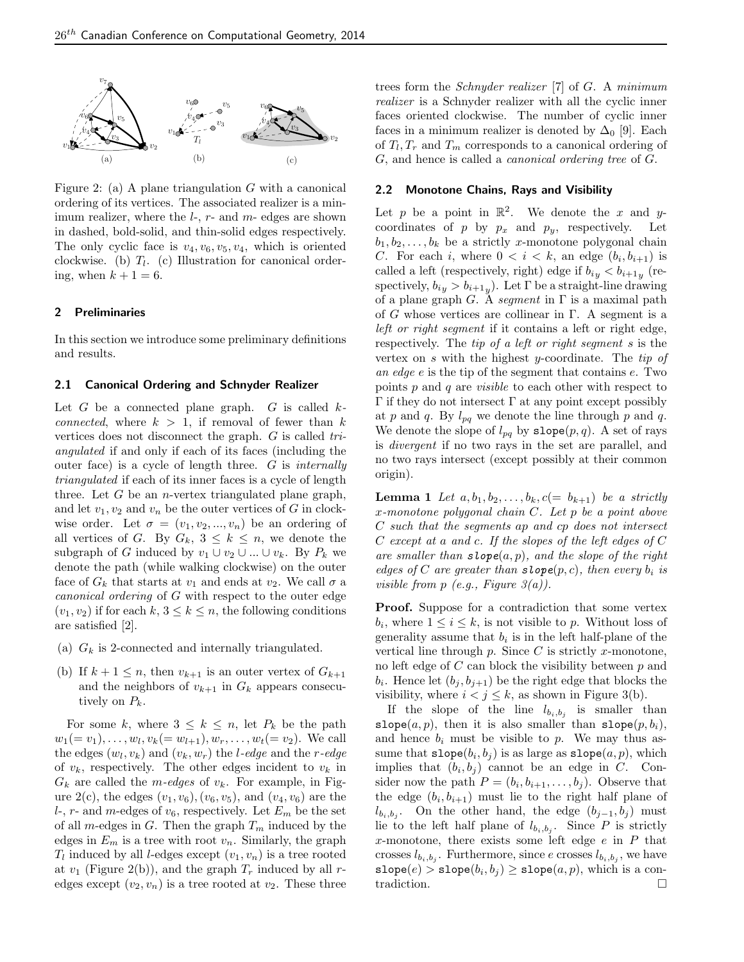

Figure 2: (a) A plane triangulation  $G$  with a canonical ordering of its vertices. The associated realizer is a minimum realizer, where the  $l$ -,  $r$ - and  $m$ - edges are shown in dashed, bold-solid, and thin-solid edges respectively. The only cyclic face is  $v_4, v_6, v_5, v_4$ , which is oriented clockwise. (b)  $T_l$ . (c) Illustration for canonical ordering, when  $k + 1 = 6$ .

#### 2 Preliminaries

In this section we introduce some preliminary definitions and results.

# 2.1 Canonical Ordering and Schnyder Realizer

Let  $G$  be a connected plane graph.  $G$  is called  $k$ connected, where  $k > 1$ , if removal of fewer than k vertices does not disconnect the graph. G is called triangulated if and only if each of its faces (including the outer face) is a cycle of length three. G is internally triangulated if each of its inner faces is a cycle of length three. Let  $G$  be an *n*-vertex triangulated plane graph, and let  $v_1, v_2$  and  $v_n$  be the outer vertices of G in clockwise order. Let  $\sigma = (v_1, v_2, ..., v_n)$  be an ordering of all vertices of G. By  $G_k$ ,  $3 \leq k \leq n$ , we denote the subgraph of G induced by  $v_1 \cup v_2 \cup ... \cup v_k$ . By  $P_k$  we denote the path (while walking clockwise) on the outer face of  $G_k$  that starts at  $v_1$  and ends at  $v_2$ . We call  $\sigma$  a canonical ordering of G with respect to the outer edge  $(v_1, v_2)$  if for each  $k, 3 \leq k \leq n$ , the following conditions are satisfied [2].

- (a)  $G_k$  is 2-connected and internally triangulated.
- (b) If  $k + 1 \leq n$ , then  $v_{k+1}$  is an outer vertex of  $G_{k+1}$ and the neighbors of  $v_{k+1}$  in  $G_k$  appears consecutively on  $P_k$ .

For some k, where  $3 \leq k \leq n$ , let  $P_k$  be the path  $w_1(=v_1), \ldots, w_l, v_k(=w_{l+1}), w_r, \ldots, w_t(=v_2)$ . We call the edges  $(w_l, v_k)$  and  $(v_k, w_r)$  the *l*-edge and the *r*-edge of  $v_k$ , respectively. The other edges incident to  $v_k$  in  $G_k$  are called the *m-edges* of  $v_k$ . For example, in Figure 2(c), the edges  $(v_1, v_6)$ ,  $(v_6, v_5)$ , and  $(v_4, v_6)$  are the l-, r- and m-edges of  $v_6$ , respectively. Let  $E_m$  be the set of all m-edges in  $G$ . Then the graph  $T_m$  induced by the edges in  $E_m$  is a tree with root  $v_n$ . Similarly, the graph  $T_l$  induced by all *l*-edges except  $(v_1, v_n)$  is a tree rooted at  $v_1$  (Figure 2(b)), and the graph  $T_r$  induced by all redges except  $(v_2, v_n)$  is a tree rooted at  $v_2$ . These three trees form the Schnyder realizer [7] of G. A minimum realizer is a Schnyder realizer with all the cyclic inner faces oriented clockwise. The number of cyclic inner faces in a minimum realizer is denoted by  $\Delta_0$  [9]. Each of  $T_l, T_r$  and  $T_m$  corresponds to a canonical ordering of G, and hence is called a canonical ordering tree of G.

## 2.2 Monotone Chains, Rays and Visibility

Let p be a point in  $\mathbb{R}^2$ . We denote the x and ycoordinates of p by  $p_x$  and  $p_y$ , respectively. Let  $b_1, b_2, \ldots, b_k$  be a strictly x-monotone polygonal chain C. For each i, where  $0 < i < k$ , an edge  $(b_i, b_{i+1})$  is called a left (respectively, right) edge if  $b_{iy} < b_{i+1y}$  (respectively,  $b_{iy} > b_{i+1y}$ . Let  $\Gamma$  be a straight-line drawing of a plane graph G. A segment in  $\Gamma$  is a maximal path of G whose vertices are collinear in Γ. A segment is a left or right segment if it contains a left or right edge, respectively. The tip of a left or right segment s is the vertex on s with the highest y-coordinate. The tip of an edge e is the tip of the segment that contains e. Two points  $p$  and  $q$  are *visible* to each other with respect to  $Γ$  if they do not intersect  $Γ$  at any point except possibly at p and q. By  $l_{pq}$  we denote the line through p and q. We denote the slope of  $l_{pq}$  by  $\texttt{slope}(p, q)$ . A set of rays is divergent if no two rays in the set are parallel, and no two rays intersect (except possibly at their common origin).

**Lemma 1** Let  $a, b_1, b_2, \ldots, b_k, c (= b_{k+1})$  be a strictly  $x$ -monotone polygonal chain  $C$ . Let  $p$  be a point above C such that the segments ap and cp does not intersect C except at a and c. If the slopes of the left edges of C are smaller than  $slope(a, p)$ , and the slope of the right edges of C are greater than  $slope(p, c)$ , then every  $b_i$  is visible from  $p(e.g., Figure 3(a)).$ 

Proof. Suppose for a contradiction that some vertex  $b_i$ , where  $1 \leq i \leq k$ , is not visible to p. Without loss of generality assume that  $b_i$  is in the left half-plane of the vertical line through  $p$ . Since  $C$  is strictly x-monotone, no left edge of  $C$  can block the visibility between  $p$  and  $b_i$ . Hence let  $(b_j, b_{j+1})$  be the right edge that blocks the visibility, where  $i < j \leq k$ , as shown in Figure 3(b).

If the slope of the line  $l_{b_i,b_j}$  is smaller than slope $(a, p)$ , then it is also smaller than slope $(p, b_i)$ , and hence  $b_i$  must be visible to p. We may thus assume that  $\texttt{slope}(b_i, b_j)$  is as large as  $\texttt{slope}(a, p)$ , which implies that  $(b_i, b_j)$  cannot be an edge in C. Consider now the path  $P = (b_i, b_{i+1}, \ldots, b_j)$ . Observe that the edge  $(b_i, b_{i+1})$  must lie to the right half plane of  $l_{b_i,b_j}$ . On the other hand, the edge  $(b_{j-1}, b_j)$  must lie to the left half plane of  $l_{b_i,b_j}$ . Since P is strictly x-monotone, there exists some left edge  $e$  in  $P$  that crosses  $l_{b_i, b_j}$ . Furthermore, since e crosses  $l_{b_i, b_j}$ , we have  $\texttt{slope}(e) > \texttt{slope}(b_i, b_j) \geq \texttt{slope}(a, p),$  which is a contradiction.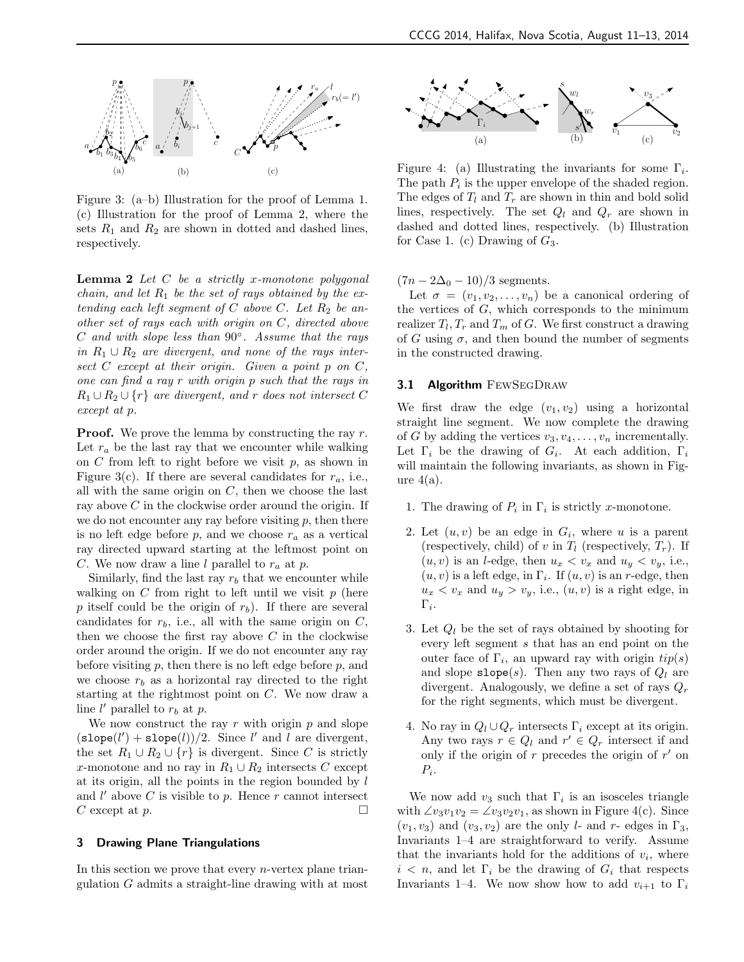

Figure 3: (a–b) Illustration for the proof of Lemma 1. (c) Illustration for the proof of Lemma 2, where the sets  $R_1$  and  $R_2$  are shown in dotted and dashed lines, respectively.

**Lemma 2** Let  $C$  be a strictly x-monotone polygonal chain, and let  $R_1$  be the set of rays obtained by the extending each left segment of C above C. Let  $R_2$  be another set of rays each with origin on C, directed above  $C$  and with slope less than  $90^\circ$ . Assume that the rays in  $R_1 \cup R_2$  are divergent, and none of the rays intersect  $C$  except at their origin. Given a point  $p$  on  $C$ , one can find a ray r with origin p such that the rays in  $R_1 \cup R_2 \cup \{r\}$  are divergent, and r does not intersect C except at p.

**Proof.** We prove the lemma by constructing the ray  $r$ . Let  $r_a$  be the last ray that we encounter while walking on  $C$  from left to right before we visit  $p$ , as shown in Figure 3(c). If there are several candidates for  $r_a$ , i.e., all with the same origin on  $C$ , then we choose the last ray above  $C$  in the clockwise order around the origin. If we do not encounter any ray before visiting  $p$ , then there is no left edge before p, and we choose  $r_a$  as a vertical ray directed upward starting at the leftmost point on C. We now draw a line l parallel to  $r_a$  at p.

Similarly, find the last ray  $r_b$  that we encounter while walking on  $C$  from right to left until we visit  $p$  (here p itself could be the origin of  $r_b$ ). If there are several candidates for  $r_b$ , i.e., all with the same origin on  $C$ , then we choose the first ray above  $C$  in the clockwise order around the origin. If we do not encounter any ray before visiting  $p$ , then there is no left edge before  $p$ , and we choose  $r_b$  as a horizontal ray directed to the right starting at the rightmost point on C. We now draw a line  $l'$  parallel to  $r_b$  at  $p$ .

We now construct the ray r with origin  $p$  and slope  $(\texttt{slope}(l') + \texttt{slope}(l))/2$ . Since l' and l are divergent, the set  $R_1 \cup R_2 \cup \{r\}$  is divergent. Since C is strictly x-monotone and no ray in  $R_1 \cup R_2$  intersects C except at its origin, all the points in the region bounded by  $l$ and  $l'$  above  $C$  is visible to  $p$ . Hence  $r$  cannot intersect C except at p.

## 3 Drawing Plane Triangulations

In this section we prove that every *n*-vertex plane triangulation G admits a straight-line drawing with at most



Figure 4: (a) Illustrating the invariants for some  $\Gamma_i$ . The path  $P_i$  is the upper envelope of the shaded region. The edges of  $T_l$  and  $T_r$  are shown in thin and bold solid lines, respectively. The set  $Q_l$  and  $Q_r$  are shown in dashed and dotted lines, respectively. (b) Illustration for Case 1. (c) Drawing of  $G_3$ .

 $(7n - 2\Delta_0 - 10)/3$  segments.

Let  $\sigma = (v_1, v_2, \ldots, v_n)$  be a canonical ordering of the vertices of  $G$ , which corresponds to the minimum realizer  $T_l, T_r$  and  $T_m$  of G. We first construct a drawing of G using  $\sigma$ , and then bound the number of segments in the constructed drawing.

## 3.1 Algorithm FEWSEGDRAW

We first draw the edge  $(v_1, v_2)$  using a horizontal straight line segment. We now complete the drawing of G by adding the vertices  $v_3, v_4, \ldots, v_n$  incrementally. Let  $\Gamma_i$  be the drawing of  $G_i$ . At each addition,  $\Gamma_i$ will maintain the following invariants, as shown in Figure  $4(a)$ .

- 1. The drawing of  $P_i$  in  $\Gamma_i$  is strictly x-monotone.
- 2. Let  $(u, v)$  be an edge in  $G_i$ , where u is a parent (respectively, child) of v in  $T_l$  (respectively,  $T_r$ ). If  $(u, v)$  is an *l*-edge, then  $u_x < v_x$  and  $u_y < v_y$ , i.e.,  $(u, v)$  is a left edge, in  $\Gamma_i$ . If  $(u, v)$  is an r-edge, then  $u_x < v_x$  and  $u_y > v_y$ , i.e.,  $(u, v)$  is a right edge, in  $\Gamma_i.$
- 3. Let  $Q_l$  be the set of rays obtained by shooting for every left segment s that has an end point on the outer face of  $\Gamma_i$ , an upward ray with origin  $tip(s)$ and slope  $\texttt{slope}(s)$ . Then any two rays of  $Q_l$  are divergent. Analogously, we define a set of rays  $Q_r$ for the right segments, which must be divergent.
- 4. No ray in  $Q_l \cup Q_r$  intersects  $\Gamma_i$  except at its origin. Any two rays  $r \in Q_l$  and  $r' \in Q_r$  intersect if and only if the origin of  $r$  precedes the origin of  $r'$  on  $P_i$ .

We now add  $v_3$  such that  $\Gamma_i$  is an isosceles triangle with  $\angle v_3v_1v_2 = \angle v_3v_2v_1$ , as shown in Figure 4(c). Since  $(v_1, v_3)$  and  $(v_3, v_2)$  are the only *l*- and *r*- edges in  $\Gamma_3$ , Invariants 1–4 are straightforward to verify. Assume that the invariants hold for the additions of  $v_i$ , where  $i < n$ , and let  $\Gamma_i$  be the drawing of  $G_i$  that respects Invariants 1–4. We now show how to add  $v_{i+1}$  to  $\Gamma_i$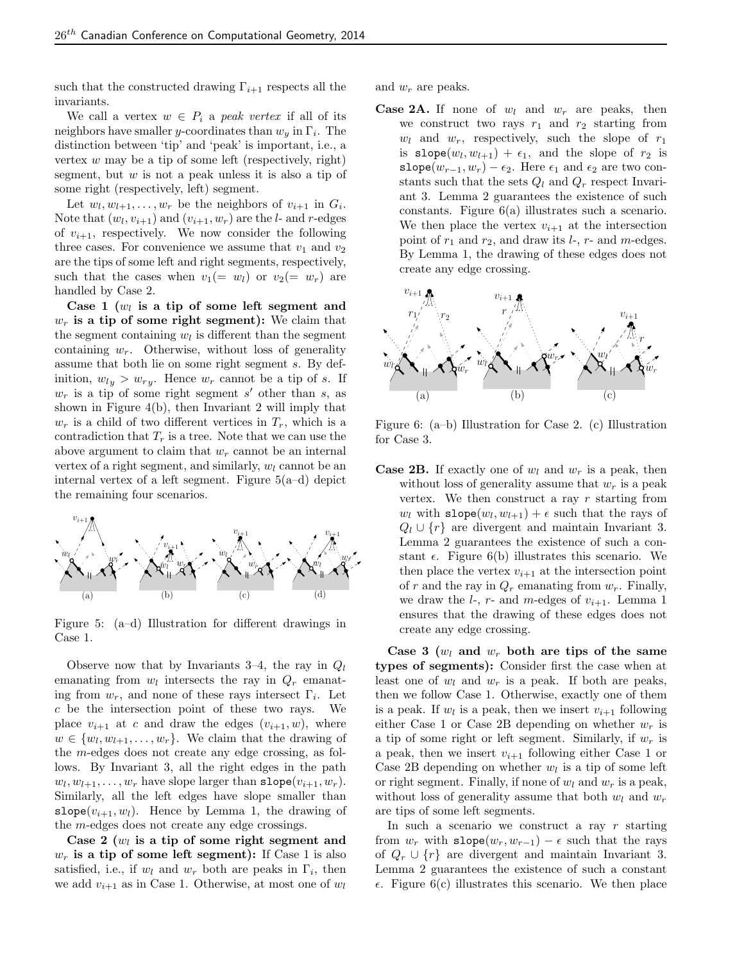such that the constructed drawing  $\Gamma_{i+1}$  respects all the invariants.

We call a vertex  $w \in P_i$  a peak vertex if all of its neighbors have smaller y-coordinates than  $w_y$  in  $\Gamma_i$ . The distinction between 'tip' and 'peak' is important, i.e., a vertex  $w$  may be a tip of some left (respectively, right) segment, but  $w$  is not a peak unless it is also a tip of some right (respectively, left) segment.

Let  $w_l, w_{l+1}, \ldots, w_r$  be the neighbors of  $v_{i+1}$  in  $G_i$ . Note that  $(w_l, v_{i+1})$  and  $(v_{i+1}, w_r)$  are the *l*- and *r*-edges of  $v_{i+1}$ , respectively. We now consider the following three cases. For convenience we assume that  $v_1$  and  $v_2$ are the tips of some left and right segments, respectively, such that the cases when  $v_1(= w_l)$  or  $v_2(= w_r)$  are handled by Case 2.

Case 1  $(w_l)$  is a tip of some left segment and  $w_r$  is a tip of some right segment): We claim that the segment containing  $w_l$  is different than the segment containing  $w_r$ . Otherwise, without loss of generality assume that both lie on some right segment s. By definition,  $w_{ly} > w_{ry}$ . Hence  $w_r$  cannot be a tip of s. If  $w_r$  is a tip of some right segment s' other than s, as shown in Figure 4(b), then Invariant 2 will imply that  $w_r$  is a child of two different vertices in  $T_r$ , which is a contradiction that  $T_r$  is a tree. Note that we can use the above argument to claim that  $w_r$  cannot be an internal vertex of a right segment, and similarly,  $w_l$  cannot be an internal vertex of a left segment. Figure 5(a–d) depict the remaining four scenarios.



Figure 5: (a–d) Illustration for different drawings in Case 1.

Observe now that by Invariants 3–4, the ray in  $Q_l$ emanating from  $w_l$  intersects the ray in  $Q_r$  emanating from  $w_r$ , and none of these rays intersect  $\Gamma_i$ . Let c be the intersection point of these two rays. We place  $v_{i+1}$  at c and draw the edges  $(v_{i+1}, w)$ , where  $w \in \{w_l, w_{l+1}, \ldots, w_r\}.$  We claim that the drawing of the m-edges does not create any edge crossing, as follows. By Invariant 3, all the right edges in the path  $w_l, w_{l+1}, \ldots, w_r$  have slope larger than  $\texttt{slope}(v_{i+1}, w_r)$ . Similarly, all the left edges have slope smaller than slope( $v_{i+1}, w_l$ ). Hence by Lemma 1, the drawing of the m-edges does not create any edge crossings.

Case 2  $(w_l)$  is a tip of some right segment and  $w_r$  is a tip of some left segment): If Case 1 is also satisfied, i.e., if  $w_l$  and  $w_r$  both are peaks in  $\Gamma_i$ , then we add  $v_{i+1}$  as in Case 1. Otherwise, at most one of  $w_l$  and  $w_r$  are peaks.

**Case 2A.** If none of  $w_l$  and  $w_r$  are peaks, then we construct two rays  $r_1$  and  $r_2$  starting from  $w_l$  and  $w_r$ , respectively, such the slope of  $r_1$ is  $\texttt{slope}(w_l, w_{l+1}) + \epsilon_1$ , and the slope of  $r_2$  is slope( $w_{r-1}, w_r$ ) –  $\epsilon_2$ . Here  $\epsilon_1$  and  $\epsilon_2$  are two constants such that the sets  $Q_l$  and  $Q_r$  respect Invariant 3. Lemma 2 guarantees the existence of such constants. Figure 6(a) illustrates such a scenario. We then place the vertex  $v_{i+1}$  at the intersection point of  $r_1$  and  $r_2$ , and draw its  $l$ -,  $r$ - and  $m$ -edges. By Lemma 1, the drawing of these edges does not create any edge crossing.



Figure 6: (a–b) Illustration for Case 2. (c) Illustration for Case 3.

**Case 2B.** If exactly one of  $w_l$  and  $w_r$  is a peak, then without loss of generality assume that  $w_r$  is a peak vertex. We then construct a ray  $r$  starting from  $w_l$  with  $\texttt{slope}(w_l, w_{l+1}) + \epsilon$  such that the rays of  $Q_l \cup \{r\}$  are divergent and maintain Invariant 3. Lemma 2 guarantees the existence of such a constant  $\epsilon$ . Figure 6(b) illustrates this scenario. We then place the vertex  $v_{i+1}$  at the intersection point of r and the ray in  $Q_r$  emanating from  $w_r$ . Finally, we draw the  $l$ -,  $r$ - and  $m$ -edges of  $v_{i+1}$ . Lemma 1 ensures that the drawing of these edges does not create any edge crossing.

Case 3  $(w_l \text{ and } w_r \text{ both are tips of the same})$ types of segments): Consider first the case when at least one of  $w_l$  and  $w_r$  is a peak. If both are peaks, then we follow Case 1. Otherwise, exactly one of them is a peak. If  $w_l$  is a peak, then we insert  $v_{i+1}$  following either Case 1 or Case 2B depending on whether  $w_r$  is a tip of some right or left segment. Similarly, if  $w_r$  is a peak, then we insert  $v_{i+1}$  following either Case 1 or Case 2B depending on whether  $w_l$  is a tip of some left or right segment. Finally, if none of  $w_l$  and  $w_r$  is a peak, without loss of generality assume that both  $w_l$  and  $w_r$ are tips of some left segments.

In such a scenario we construct a ray  $r$  starting from  $w_r$  with slope $(w_r, w_{r-1}) - \epsilon$  such that the rays of  $Q_r \cup \{r\}$  are divergent and maintain Invariant 3. Lemma 2 guarantees the existence of such a constant  $\epsilon$ . Figure 6(c) illustrates this scenario. We then place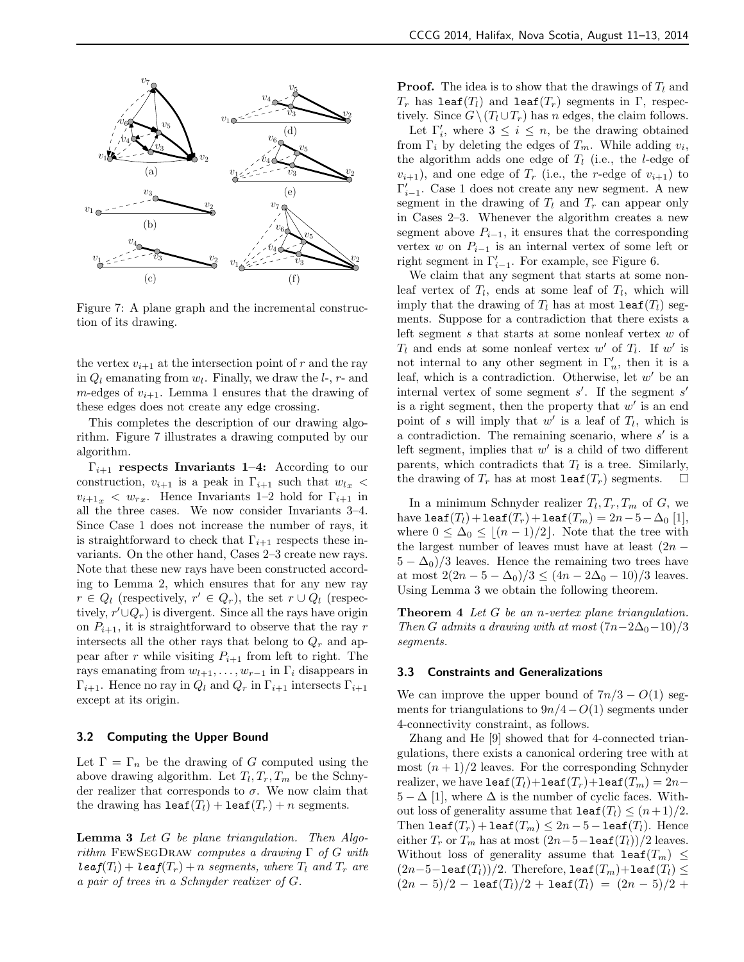

Figure 7: A plane graph and the incremental construction of its drawing.

the vertex  $v_{i+1}$  at the intersection point of r and the ray in  $Q_l$  emanating from  $w_l$ . Finally, we draw the  $l$ -,  $r$ - and m-edges of  $v_{i+1}$ . Lemma 1 ensures that the drawing of these edges does not create any edge crossing.

This completes the description of our drawing algorithm. Figure 7 illustrates a drawing computed by our algorithm.

 $\Gamma_{i+1}$  respects Invariants 1–4: According to our construction,  $v_{i+1}$  is a peak in  $\Gamma_{i+1}$  such that  $w_{l,x}$  <  $v_{i+1} \leq w_{r}$ . Hence Invariants 1–2 hold for  $\Gamma_{i+1}$  in all the three cases. We now consider Invariants 3–4. Since Case 1 does not increase the number of rays, it is straightforward to check that  $\Gamma_{i+1}$  respects these invariants. On the other hand, Cases 2–3 create new rays. Note that these new rays have been constructed according to Lemma 2, which ensures that for any new ray  $r \in Q_l$  (respectively,  $r' \in Q_r$ ), the set  $r \cup Q_l$  (respectively,  $r' \cup Q_r$ ) is divergent. Since all the rays have origin on  $P_{i+1}$ , it is straightforward to observe that the ray r intersects all the other rays that belong to  $Q_r$  and appear after r while visiting  $P_{i+1}$  from left to right. The rays emanating from  $w_{l+1}, \ldots, w_{r-1}$  in  $\Gamma_i$  disappears in  $\Gamma_{i+1}$ . Hence no ray in  $Q_l$  and  $Q_r$  in  $\Gamma_{i+1}$  intersects  $\Gamma_{i+1}$ except at its origin.

#### 3.2 Computing the Upper Bound

Let  $\Gamma = \Gamma_n$  be the drawing of G computed using the above drawing algorithm. Let  $T_l, T_r, T_m$  be the Schnyder realizer that corresponds to  $\sigma$ . We now claim that the drawing has  $\texttt{leaf}(T_l) + \texttt{leaf}(T_r) + n$  segments.

Lemma 3 Let G be plane triangulation. Then Algorithm FEWSEGDRAW computes a drawing  $\Gamma$  of G with  $\text{leaf}(T_l) + \text{leaf}(T_r) + n \text{ segments}, \text{ where } T_l \text{ and } T_r \text{ are}$ a pair of trees in a Schnyder realizer of G.

**Proof.** The idea is to show that the drawings of  $T_l$  and  $T_r$  has leaf( $T_l$ ) and leaf( $T_r$ ) segments in Γ, respectively. Since  $G \setminus (T_l \cup T_r)$  has n edges, the claim follows.

Let  $\Gamma'_i$ , where  $3 \leq i \leq n$ , be the drawing obtained from  $\Gamma_i$  by deleting the edges of  $T_m$ . While adding  $v_i$ , the algorithm adds one edge of  $T_l$  (i.e., the *l*-edge of  $v_{i+1}$ , and one edge of  $T_r$  (i.e., the r-edge of  $v_{i+1}$ ) to  $\Gamma_{i-1}'.$  Case 1 does not create any new segment. A new segment in the drawing of  $T_l$  and  $T_r$  can appear only in Cases 2–3. Whenever the algorithm creates a new segment above  $P_{i-1}$ , it ensures that the corresponding vertex w on  $P_{i-1}$  is an internal vertex of some left or right segment in  $\Gamma_{i-1}'$ . For example, see Figure 6.

We claim that any segment that starts at some nonleaf vertex of  $T_l$ , ends at some leaf of  $T_l$ , which will imply that the drawing of  $T_l$  has at most leaf( $T_l$ ) segments. Suppose for a contradiction that there exists a left segment s that starts at some nonleaf vertex w of  $T_l$  and ends at some nonleaf vertex w' of  $T_l$ . If w' is not internal to any other segment in  $\Gamma'_n$ , then it is a leaf, which is a contradiction. Otherwise, let  $w'$  be an internal vertex of some segment  $s'$ . If the segment  $s'$ is a right segment, then the property that  $w'$  is an end point of s will imply that  $w'$  is a leaf of  $T_l$ , which is a contradiction. The remaining scenario, where  $s'$  is a left segment, implies that  $w'$  is a child of two different parents, which contradicts that  $T_l$  is a tree. Similarly, the drawing of  $T_r$  has at most leaf( $T_r$ ) segments.  $\Box$ 

In a minimum Schnyder realizer  $T_l, T_r, T_m$  of G, we have leaf( $T_l$ )+leaf( $T_r$ )+leaf( $T_m$ ) = 2n - 5 -  $\Delta_0$  [1], where  $0 \leq \Delta_0 \leq \lfloor (n-1)/2 \rfloor$ . Note that the tree with the largest number of leaves must have at least  $(2n 5 - \Delta_0/3$  leaves. Hence the remaining two trees have at most  $2(2n - 5 - \Delta_0)/3 \leq (4n - 2\Delta_0 - 10)/3$  leaves. Using Lemma 3 we obtain the following theorem.

Theorem 4 Let G be an *n*-vertex plane triangulation. Then G admits a drawing with at most  $(7n-2\Delta_0-10)/3$ segments.

#### 3.3 Constraints and Generalizations

We can improve the upper bound of  $7n/3 - O(1)$  segments for triangulations to  $9n/4-O(1)$  segments under 4-connectivity constraint, as follows.

Zhang and He [9] showed that for 4-connected triangulations, there exists a canonical ordering tree with at most  $(n+1)/2$  leaves. For the corresponding Schnyder realizer, we have leaf $(T_l)$ +leaf $(T_r)$ +leaf $(T_m) = 2n 5 - \Delta$  [1], where  $\Delta$  is the number of cyclic faces. Without loss of generality assume that  $\texttt{leaf}(T_l) \leq (n+1)/2$ . Then leaf $(T_r)$  + leaf $(T_m) \leq 2n-5$  – leaf $(T_l)$ . Hence either  $T_r$  or  $T_m$  has at most  $(2n-5-\text{leaf}(T_l))/2$  leaves. Without loss of generality assume that leaf( $T_m$ )  $\leq$  $(2n-5-$ leaf $(T_l))/2$ . Therefore, leaf $(T_m)+$ leaf $(T_l)\leq$  $(2n-5)/2 - \text{leaf}(T_l)/2 + \text{leaf}(T_l) = (2n-5)/2 +$